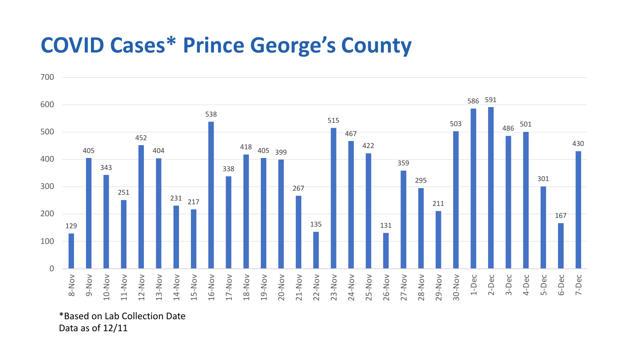## **COVID Cases\* Prince George's County**



\*Based on Lab Collection Date Data as of 12/11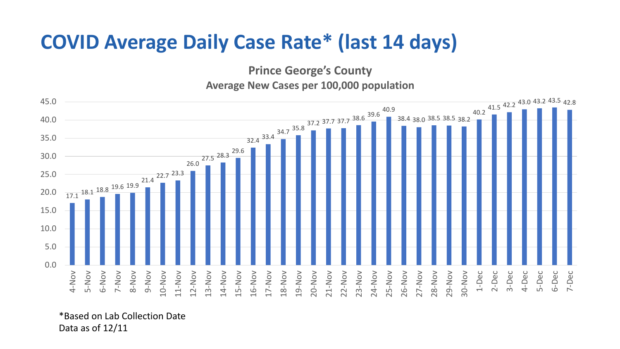## **COVID Average Daily Case Rate\* (last 14 days)**

**Prince George's County**

**Average New Cases per 100,000 population**



\*Based on Lab Collection Date Data as of 12/11